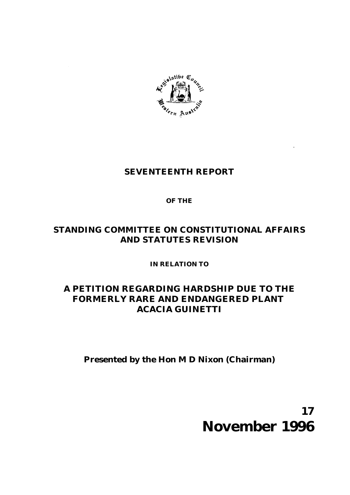

# **SEVENTEENTH REPORT**

## **OF THE**

# **STANDING COMMITTEE ON CONSTITUTIONAL AFFAIRS AND STATUTES REVISION**

**IN RELATION TO**

# **A PETITION REGARDING HARDSHIP DUE TO THE FORMERLY RARE AND ENDANGERED PLANT**  *ACACIA GUINETTI*

**Presented by the Hon M D Nixon (Chairman)**

# **17 November 1996**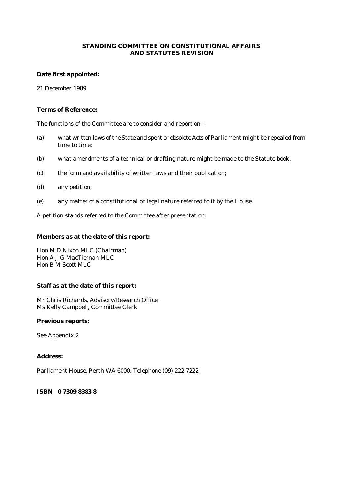#### **STANDING COMMITTEE ON CONSTITUTIONAL AFFAIRS AND STATUTES REVISION**

#### **Date first appointed:**

21 December 1989

#### **Terms of Reference:**

The functions of the Committee are to consider and report on -

- (a) what written laws of the State and spent or obsolete Acts of Parliament might be repealed from time to time;
- (b) what amendments of a technical or drafting nature might be made to the Statute book;
- (c) the form and availability of written laws and their publication;
- (d) any petition;
- (e) any matter of a constitutional or legal nature referred to it by the House.

A petition stands referred to the Committee after presentation.

#### **Members as at the date of this report:**

Hon M D Nixon MLC (Chairman) Hon A J G MacTiernan MLC Hon B M Scott MLC

#### **Staff as at the date of this report:**

Mr Chris Richards, Advisory/Research Officer Ms Kelly Campbell, Committee Clerk

#### **Previous reports:**

See Appendix 2

#### **Address:**

Parliament House, Perth WA 6000, Telephone (09) 222 7222

#### **ISBN 0 7309 8383 8**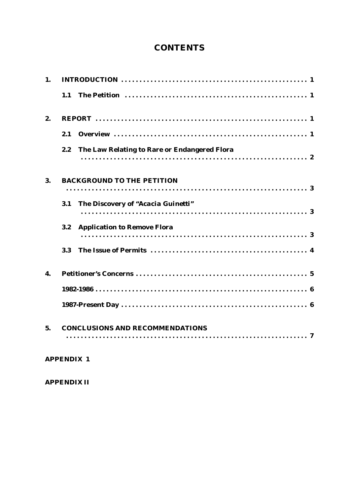# **CONTENTS**

| 1. |                                                     |
|----|-----------------------------------------------------|
|    | 1.1                                                 |
| 2. |                                                     |
|    | 2.1                                                 |
|    | 2.2<br>The Law Relating to Rare or Endangered Flora |
| 3. | <b>BACKGROUND TO THE PETITION</b>                   |
|    | The Discovery of "Acacia Guinetti"<br>3.1           |
|    | <b>Application to Remove Flora</b><br>3.2           |
|    | 3.3                                                 |
| 4. |                                                     |
|    |                                                     |
|    |                                                     |
| 5. | <b>CONCLUSIONS AND RECOMMENDATIONS</b>              |
|    | <b>APPENDIX 1</b>                                   |

**APPENDIX II**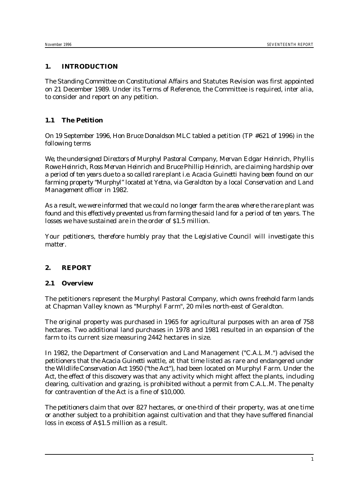#### **1. INTRODUCTION**

The Standing Committee on Constitutional Affairs and Statutes Revision was first appointed on 21 December 1989. Under its Terms of Reference, the Committee is required, *inter alia*, to consider and report on any petition.

### **1.1 The Petition**

On 19 September 1996, Hon Bruce Donaldson MLC tabled a petition (*TP #621 of 1996*) in the following terms

*We, the undersigned Directors of Murphyl Pastoral Company, Mervan Edgar Heinrich, Phyllis Rowe Heinrich, Ross Mervan Heinrich and Bruce Phillip Heinrich, are claiming hardship over a period of ten years due to a so called rare plant i.e. Acacia Guinetti having been found on our farming property "Murphyl" located at Yetna, via Geraldton by a local Conservation and Land Management officer in 1982.*

*As a result, we were informed that we could no longer farm the area where the rare plant was found and this effectively prevented us from farming the said land for a period of ten years. The losses we have sustained are in the order of \$1.5 million.*

*Your petitioners, therefore humbly pray that the Legislative Council will investigate this matter.*

#### **2. REPORT**

#### **2.1 Overview**

The petitioners represent the Murphyl Pastoral Company, which owns freehold farm lands at Chapman Valley known as "Murphyl Farm", 20 miles north-east of Geraldton.

The original property was purchased in 1965 for agricultural purposes with an area of 758 hectares. Two additional land purchases in 1978 and 1981 resulted in an expansion of the farm to its current size measuring 2442 hectares in size.

In 1982, the Department of Conservation and Land Management ("C.A.L.M.") advised the petitioners that the *Acacia Guinetti* wattle, at that time listed as rare and endangered under the *Wildlife Conservation Act 1950* ("the Act"), had been located on Murphyl Farm. Under the Act, the effect of this discovery was that any activity which might affect the plants, including clearing, cultivation and grazing, is prohibited without a permit from C.A.L.M. The penalty for contravention of the Act is a fine of \$10,000.

The petitioners claim that over 827 hectares, or one-third of their property, was at one time or another subject to a prohibition against cultivation and that they have suffered financial loss in excess of A\$1.5 million as a result.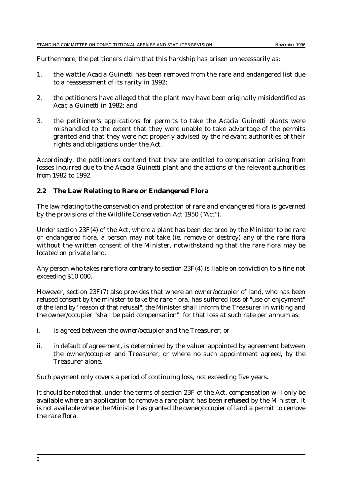Furthermore, the petitioners claim that this hardship has arisen unnecessarily as:

- 1. the wattle *Acacia Guinetti* has been removed from the rare and endangered list due to a reassessment of its rarity in 1992;
- 2. the petitioners have alleged that the plant may have been originally misidentified as *Acacia Guinetti* in 1982; and
- 3. the petitioner's applications for permits to take the *Acacia Guinetti* plants were mishandled to the extent that they were unable to take advantage of the permits granted and that they were not properly advised by the relevant authorities of their rights and obligations under the Act.

Accordingly, the petitioners contend that they are entitled to compensation arising from losses incurred due to the *Acacia Guinetti* plant and the actions of the relevant authorities from 1982 to 1992.

#### **2.2 The Law Relating to Rare or Endangered Flora**

The law relating to the conservation and protection of rare and endangered flora is governed by the provisions of the *Wildlife Conservation Act 1950* ("Act").

Under section 23F(4) of the Act, where a plant has been declared by the Minister to be rare or endangered flora, a person may not take (ie. remove or destroy) any of the rare flora without the written consent of the Minister, notwithstanding that the rare flora may be located on private land.

Any person who takes rare flora contrary to section 23F(4) is liable on conviction to a fine not exceeding \$10 000.

However, section 23F(7) also provides that where an owner/occupier of land, who has been refused consent by the minister to take the rare flora, has suffered loss of "use or enjoyment" of the land by "reason of that refusal", the Minister shall inform the Treasurer in writing and the owner/occupier "shall be paid compensation" for that loss at such rate per annum as:

- i. is agreed between the owner/occupier and the Treasurer; or
- ii. in default of agreement, is determined by the valuer appointed by agreement between the owner/occupier and Treasurer, or where no such appointment agreed, by the Treasurer alone.

Such payment only covers a period of continuing loss, not exceeding five years**.**

It should be noted that, under the terms of section 23F of the Act, compensation will only be available where an application to remove a rare plant has been **refused** by the Minister. It is not available where the Minister has granted the owner/occupier of land a permit to remove the rare flora.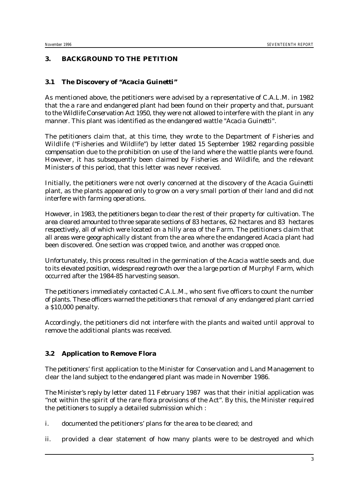#### **3. BACKGROUND TO THE PETITION**

#### **3.1 The Discovery of "***Acacia Guinetti"*

As mentioned above, the petitioners were advised by a representative of C.A.L.M. in 1982 that the a rare and endangered plant had been found on their property and that, pursuant to the *Wildlife Conservation Act 1950*, they were not allowed to interfere with the plant in any manner. This plant was identified as the endangered wattle "*Acacia Guinetti".*

The petitioners claim that, at this time, they wrote to the Department of Fisheries and Wildlife ("Fisheries and Wildlife") by letter dated 15 September 1982 regarding possible compensation due to the prohibition on use of the land where the wattle plants were found. However, it has subsequently been claimed by Fisheries and Wildlife, and the relevant Ministers of this period, that this letter was never received.

Initially, the petitioners were not overly concerned at the discovery of the *Acacia Guinetti* plant, as the plants appeared only to grow on a very small portion of their land and did not interfere with farming operations.

However, in 1983, the petitioners began to clear the rest of their property for cultivation. The area cleared amounted to three separate sections of 83 hectares, 62 hectares and 83 hectares respectively, all of which were located on a hilly area of the Farm. The petitioners claim that all areas were geographically distant from the area where the endangered *Acacia* plant had been discovered. One section was cropped twice, and another was cropped once.

Unfortunately, this process resulted in the germination of the *Acacia* wattle seeds and, due to its elevated position, widespread regrowth over the a large portion of Murphyl Farm, which occurred after the 1984-85 harvesting season.

The petitioners immediately contacted C.A.L.M., who sent five officers to count the number of plants. These officers warned the petitioners that removal of any endangered plant carried a \$10,000 penalty.

Accordingly, the petitioners did not interfere with the plants and waited until approval to remove the additional plants was received.

#### **3.2 Application to Remove Flora**

The petitioners' first application to the Minister for Conservation and Land Management to clear the land subject to the endangered plant was made in November 1986.

The Minister's reply by letter dated 11 February 1987 was that their initial application was "not within the spirit of the rare flora provisions of the Act". By this, the Minister required the petitioners to supply a detailed submission which :

- i. documented the petitioners' plans for the area to be cleared; and
- ii. provided a clear statement of how many plants were to be destroyed and which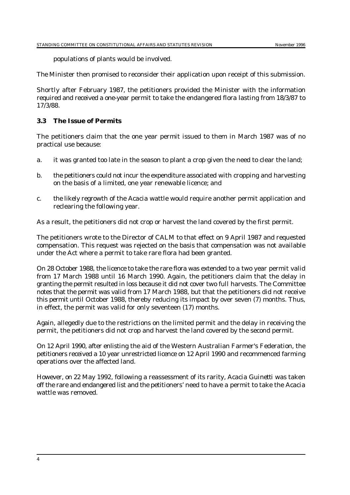populations of plants would be involved.

The Minister then promised to reconsider their application upon receipt of this submission.

Shortly after February 1987, the petitioners provided the Minister with the information required and received a one-year permit to take the endangered flora lasting from 18/3/87 to 17/3/88.

#### **3.3 The Issue of Permits**

The petitioners claim that the one year permit issued to them in March 1987 was of no practical use because:

- a. it was granted too late in the season to plant a crop given the need to clear the land;
- b. the petitioners could not incur the expenditure associated with cropping and harvesting on the basis of a limited, one year renewable licence; and
- c. the likely regrowth of the *Acacia* wattle would require another permit application and reclearing the following year.

As a result, the petitioners did not crop or harvest the land covered by the first permit.

The petitioners wrote to the Director of CALM to that effect on 9 April 1987 and requested compensation. This request was rejected on the basis that compensation was not available under the Act where a permit to take rare flora had been granted.

On 28 October 1988, the licence to take the rare flora was extended to a two year permit valid from 17 March 1988 until 16 March 1990. Again, the petitioners claim that the delay in granting the permit resulted in loss because it did not cover two full harvests. The Committee notes that the permit was valid from 17 March 1988, but that the petitioners did not receive this permit until October 1988, thereby reducing its impact by over seven (7) months. Thus, in effect, the permit was valid for only seventeen (17) months.

Again, allegedly due to the restrictions on the limited permit and the delay in receiving the permit, the petitioners did not crop and harvest the land covered by the second permit.

On 12 April 1990, after enlisting the aid of the Western Australian Farmer's Federation, the petitioners received a 10 year unrestricted licence on 12 April 1990 and recommenced farming operations over the affected land.

However, on 22 May 1992, following a reassessment of its rarity, *Acacia Guinetti* was taken off the rare and endangered list and the petitioners' need to have a permit to take the *Acacia* wattle was removed.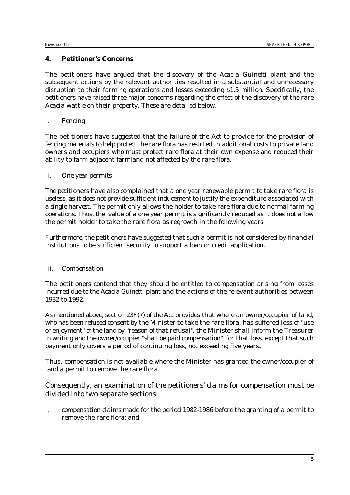#### **4. Petitioner's Concerns**

The petitioners have argued that the discovery of the *Acacia Guinetti* plant and the subsequent actions by the relevant authorities resulted in a substantial and unnecessary disruption to their farming operations and losses exceeding \$1.5 million. Specifically, the petitioners have raised three major concerns regarding the effect of the discovery of the rare *Acacia* wattle on their property. These are detailed below.

#### *i. Fencing*

The petitioners have suggested that the failure of the Act to provide for the provision of fencing materials to help protect the rare flora has resulted in additional costs to private land owners and occupiers who must protect rare flora at their own expense and reduced their ability to farm adjacent farmland not affected by the rare flora.

#### *ii. One year permits*

The petitioners have also complained that a one year renewable permit to take rare flora is useless, as it does not provide sufficient inducement to justify the expenditure associated with a single harvest. The permit only allows the holder to take rare flora due to normal farming operations. Thus, the value of a one year permit is significantly reduced as it does not allow the permit holder to take the rare flora as regrowth in the following years.

Furthermore, the petitioners have suggested that such a permit is not considered by financial institutions to be sufficient security to support a loan or credit application.

#### *iii. Compensation*

The petitioners contend that they should be entitled to compensation arising from losses incurred due to the *Acacia Guinetti* plant and the actions of the relevant authorities between 1982 to 1992.

As mentioned above, section 23F(7) of the Act provides that where an owner/occupier of land, who has been refused consent by the Minister to take the rare flora, has suffered loss of "use or enjoyment" of the land by "reason of that refusal", the Minister shall inform the Treasurer in writing and the owner/occupier "shall be paid compensation" for that loss, except that such payment only covers a period of continuing loss, not exceeding five years**.**

Thus, compensation is not available where the Minister has granted the owner/occupier of land a permit to remove the rare flora.

Consequently, an examination of the petitioners' claims for compensation must be divided into two separate sections:

i. compensation claims made for the period 1982-1986 before the granting of a permit to remove the rare flora; and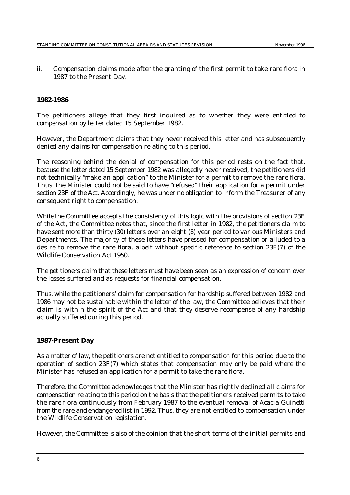ii. Compensation claims made after the granting of the first permit to take rare flora in 1987 to the Present Day.

#### **1982-1986**

The petitioners allege that they first inquired as to whether they were entitled to compensation by letter dated 15 September 1982.

However, the Department claims that they never received this letter and has subsequently denied any claims for compensation relating to this period.

The reasoning behind the denial of compensation for this period rests on the fact that, because the letter dated 15 September 1982 was allegedly never received, the petitioners did not technically "make an application" to the Minister for a permit to remove the rare flora. Thus, the Minister could not be said to have "refused" their application for a permit under section 23F of the Act. Accordingly, he was under no obligation to inform the Treasurer of any consequent right to compensation.

While the Committee accepts the consistency of this logic with the provisions of section 23F of the Act, the Committee notes that, since the first letter in 1982, the petitioners claim to have sent more than thirty (30) letters over an eight (8) year period to various Ministers and Departments. The majority of these letters have pressed for compensation or alluded to a desire to remove the rare flora, albeit without specific reference to section 23F(7) of the *Wildlife Conservation Act 1950*.

The petitioners claim that these letters must have been seen as an expression of concern over the losses suffered and as requests for financial compensation.

Thus, while the petitioners' claim for compensation for hardship suffered between 1982 and 1986 may not be sustainable within the letter of the law, the Committee believes that their claim is within the spirit of the Act and that they deserve recompense of any hardship actually suffered during this period.

#### **1987-Present Day**

As a matter of law, the petitioners are not entitled to compensation for this period due to the operation of section 23F(7) which states that compensation may only be paid where the Minister has refused an application for a permit to take the rare flora.

Therefore, the Committee acknowledges that the Minister has rightly declined all claims for compensation relating to this period on the basis that the petitioners received permits to take the rare flora continuously from February 1987 to the eventual removal of *Acacia Guinetti* from the rare and endangered list in 1992. Thus, they are not entitled to compensation under the Wildlife Conservation legislation.

However, the Committee is also of the opinion that the short terms of the initial permits and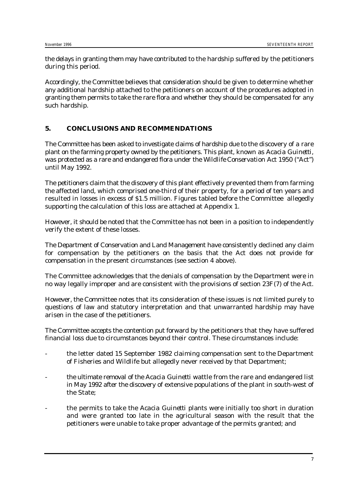the delays in granting them may have contributed to the hardship suffered by the petitioners during this period.

Accordingly, the Committee believes that consideration should be given to determine whether any additional hardship attached to the petitioners on account of the procedures adopted in granting them permits to take the rare flora and whether they should be compensated for any such hardship.

#### **5. CONCLUSIONS AND RECOMMENDATIONS**

The Committee has been asked to investigate claims of hardship due to the discovery of a rare plant on the farming property owned by the petitioners. This plant, known as *Acacia Guinetti*, was protected as a rare and endangered flora under the *Wildlife Conservation Act 1950* ("Act") until May 1992.

The petitioners claim that the discovery of this plant effectively prevented them from farming the affected land, which comprised one-third of their property, for a period of ten years and resulted in losses in excess of \$1.5 million. Figures tabled before the Committee allegedly supporting the calculation of this loss are attached at Appendix 1.

However, it should be noted that the Committee has not been in a position to independently verify the extent of these losses.

The Department of Conservation and Land Management have consistently declined any claim for compensation by the petitioners on the basis that the Act does not provide for compensation in the present circumstances (see section 4 above).

The Committee acknowledges that the denials of compensation by the Department were in no way legally improper and are consistent with the provisions of section 23F(7) of the Act.

However, the Committee notes that its consideration of these issues is not limited purely to questions of law and statutory interpretation and that unwarranted hardship may have arisen in the case of the petitioners.

The Committee accepts the contention put forward by the petitioners that they have suffered financial loss due to circumstances beyond their control. These circumstances include:

- the letter dated 15 September 1982 claiming compensation sent to the Department of Fisheries and Wildlife but allegedly never received by that Department;
- the ultimate removal of the *Acacia Guinetti* wattle from the rare and endangered list in May 1992 after the discovery of extensive populations of the plant in south-west of the State;
- the permits to take the *Acacia Guinetti* plants were initially too short in duration and were granted too late in the agricultural season with the result that the petitioners were unable to take proper advantage of the permits granted; and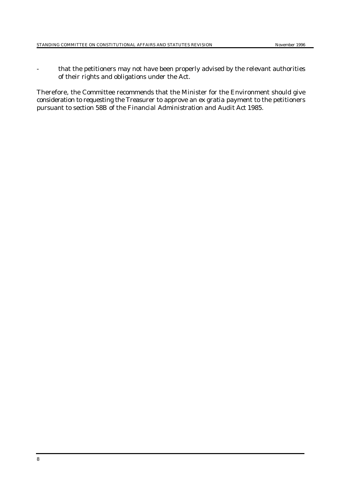- that the petitioners may not have been properly advised by the relevant authorities of their rights and obligations under the Act.

Therefore, the Committee recommends that the Minister for the Environment should give consideration to requesting the Treasurer to approve an *ex gratia* payment to the petitioners pursuant to section 58B of the *Financial Administration and Audit Act 1985*.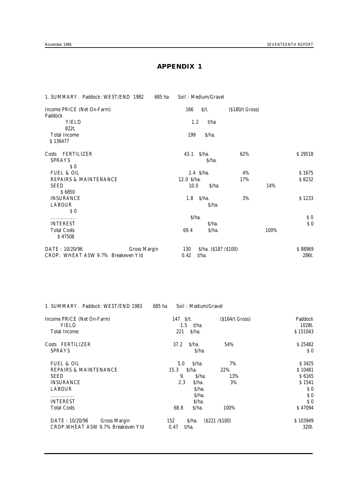#### **APPENDIX 1**

| 1. SUMMARY. Paddock: WEST/END 1982<br>685 ha       | Soil: Medium/Gravel                      |                          |      |                                                    |
|----------------------------------------------------|------------------------------------------|--------------------------|------|----------------------------------------------------|
| Income PRICE (Net On-Farm)                         | 166<br>$\frac{\xi}{t}$ .                 | $($ \$180 $/t$ Gross $)$ |      |                                                    |
| Paddock                                            |                                          |                          |      |                                                    |
| <b>YIELD</b>                                       | 1.2<br>t/ha                              |                          |      |                                                    |
| 822t.                                              |                                          |                          |      |                                                    |
| <b>Total Income</b>                                | 199<br>\$/ha.                            |                          |      |                                                    |
| \$136477                                           |                                          |                          |      |                                                    |
| FERTILIZER<br>Costs                                | S/ha.<br>43.1                            | 62%                      |      | \$29518                                            |
| <b>SPRAYS</b>                                      | S/ha.                                    |                          |      |                                                    |
| \$0                                                |                                          |                          |      |                                                    |
| FUEL & OIL                                         | $2.4 \text{ S/ha.}$                      | 4%                       |      | S 1675                                             |
| <b>REPAIRS &amp; MAINTENANCE</b>                   | $12.0 \text{ S/ha.}$                     | 17%                      |      | \$8232                                             |
| <b>SEED</b>                                        | $S/ha$ .<br>10.0                         |                          | 14%  |                                                    |
| \$6850                                             |                                          |                          |      |                                                    |
| <b>INSURANCE</b>                                   | \$/ha.<br>1.8                            | 3%                       |      | \$1233                                             |
| <b>LABOUR</b>                                      | S/ha.                                    |                          |      |                                                    |
| $\boldsymbol{\mathsf{S}}\ \boldsymbol{\mathsf{0}}$ |                                          |                          |      |                                                    |
| .                                                  | $S/ha$ .                                 |                          |      | S <sub>0</sub>                                     |
| <b>INTEREST</b>                                    | S/ha.                                    |                          |      | $\boldsymbol{\mathsf{S}}\ \boldsymbol{\mathsf{0}}$ |
| <b>Total Costs</b>                                 | 69.4<br>S/ha.                            |                          | 100% |                                                    |
| \$47508                                            |                                          |                          |      |                                                    |
| DATE: 10/20/96<br><b>Gross Margin</b>              | 130<br>$\frac{\S}{\ha}$ . (\$187 /\$100) |                          |      | \$88969                                            |
| CROP: WHEAT ASW 9.7% Breakeven Yld                 | t/ha.<br>0.42                            |                          |      | 286t.                                              |

| 1. SUMMARY. Paddock: WEST/END 1983 | 685 ha | Soil: Medium/Gravel |
|------------------------------------|--------|---------------------|
|                                    |        |                     |

| Income PRICE (Net On-Farm)<br>YIELD<br><b>Total Income</b> | 147<br>$S/t$ .<br>1.5<br>t/ha.<br>$S/ha$ .<br>221 | $(S164/t$ Gross) | Paddock<br>$1028t$ .<br>\$151043 |
|------------------------------------------------------------|---------------------------------------------------|------------------|----------------------------------|
| Costs FERTILIZER                                           | S/ha.<br>37.2                                     | 54%              | \$25482                          |
| <b>SPRAYS</b>                                              | $S/ha$ .                                          |                  | S <sub>0</sub>                   |
| <b>FUEL &amp; OIL</b>                                      | $S/ha$ .<br>5.0                                   | 7%               | S 3425                           |
| <b>REPAIRS &amp; MAINTENANCE</b>                           | $S/ha$ .<br>15.3                                  | 22%              | \$10481                          |
| <b>SEED</b>                                                | 9.<br>$S/ha$ .                                    | 13%              | S 6165                           |
| <b>INSURANCE</b>                                           | 2.3<br>$S/ha$ .                                   | 3%               | \$1541                           |
| <b>LABOUR</b>                                              | $S/ha$ .                                          |                  | S <sub>0</sub>                   |
| .                                                          | $S/ha$ .                                          |                  | S <sub>0</sub>                   |
| <b>INTEREST</b>                                            | $S/ha$ .                                          |                  | S <sub>0</sub>                   |
| <b>Total Costs</b>                                         | 68.8<br>$S/ha$ .                                  | 100%             | S 47094                          |
| DATE: 10/20/96<br>Gross Margin                             | \$/ha.<br>152                                     | (S221 / S100)    | \$103949                         |
| CROP: WHEAT ASW 9.7% Breakeven Yld                         | t/ha.<br>0.47                                     |                  | 320t.                            |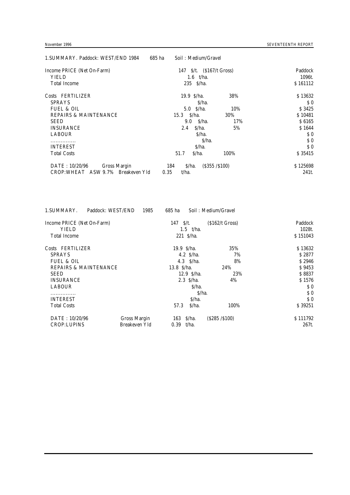| 1. SUMMARY. Paddock: WEST/END 1984 | 685 ha | Soil: Medium/Gravel       |               |                |
|------------------------------------|--------|---------------------------|---------------|----------------|
| Income PRICE (Net On-Farm)         |        | 147 \$/t. (\$167/t Gross) |               | Paddock        |
| <b>YIELD</b>                       |        | 1.6 $t/ha$ .              |               | 1096t.         |
| <b>Total Income</b>                |        | 235 S/ha.                 |               | \$161112       |
| Costs FERTILIZER                   |        | 19.9 $S/ha$ .             | 38%           | \$13632        |
| <b>SPRAYS</b>                      |        | $S/ha$ .                  |               | S <sub>0</sub> |
| <b>FUEL &amp; OIL</b>              |        | $5.0 \,$ S/ha.            | 10%           | S 3425         |
| <b>REPAIRS &amp; MAINTENANCE</b>   |        | S/ha.<br>15.3             | 30%           | S 10481        |
| <b>SEED</b>                        |        | 9.0 S/ha.                 | 17%           | S 6165         |
| <b>INSURANCE</b>                   |        | S/ha.<br>2.4              | 5%            | S 1644         |
| <b>LABOUR</b>                      |        | S/ha.                     |               | S <sub>0</sub> |
| .                                  |        | $S/ha$ .                  |               | S <sub>0</sub> |
| <b>INTEREST</b>                    |        | $S/ha$ .                  |               | S <sub>0</sub> |
| <b>Total Costs</b>                 |        | S/ha.<br>51.7             | 100%          | \$ 35415       |
| DATE: 10/20/96<br>Gross Margin     |        | S/ha.<br>184              | (S355 / S100) | \$125698       |
| CROP: WHEAT ASW 9.7% Breakeven Yld | 0.35   | t/ha.                     |               | 241t.          |

| 1985<br>685 ha                     |      |                                                          |
|------------------------------------|------|----------------------------------------------------------|
| 147 $S/t$ .                        |      | Paddock                                                  |
| 1.5 $t/ha$ .                       |      | 1028t.                                                   |
| $221$ S/ha.                        |      | \$151043                                                 |
| 19.9 $\frac{\text{S}}{\text{h}}$ . | 35%  | \$13632                                                  |
| 4.2 $S/ha$ .                       | 7%   | S 2877                                                   |
| $4.3 \,$ S/ha.                     | 8%   | S 2946                                                   |
| 13.8 S/ha.                         | 24%  | S 9453                                                   |
| $12.9 \text{ S/ha.}$               | 23%  | \$8837                                                   |
| $2.3 \,$ S/ha.                     | 4%   | \$1576                                                   |
| S/ha.                              |      | S <sub>0</sub>                                           |
| $S/ha$ .                           |      | S <sub>0</sub>                                           |
| $S/ha$ .                           |      | S <sub>0</sub>                                           |
| S/ha.<br>57.3                      | 100% | S 39251                                                  |
| Gross Margin<br>163 \$/ha.         |      | \$111792                                                 |
| Breakeven Yld<br>0.39<br>t/ha.     |      | 267t.                                                    |
|                                    |      | Soil: Medium/Gravel<br>$(S162/t$ Gross)<br>(S285 / S100) |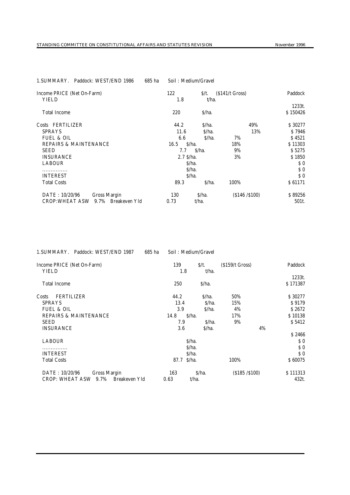| 1.SUMMARY.<br>Paddock: WEST/END 1986         | 685 ha | Soil: Medium/Gravel |                  |                  |                |
|----------------------------------------------|--------|---------------------|------------------|------------------|----------------|
| Income PRICE (Net On-Farm)<br><b>YIELD</b>   |        | 122<br>1.8          | $S/t$ .<br>t/ha. | $(S141/t$ Gross) | Paddock        |
|                                              |        |                     |                  |                  | 1233t.         |
| <b>Total Income</b>                          |        | 220                 | S/ha.            |                  | \$150426       |
| Costs FERTILIZER                             |        | 44.2                | S/ha.            | 49%              | \$30277        |
| <b>SPRAYS</b>                                |        | 11.6                | S/ha.            | 13%              | S 7946         |
| <b>FUEL &amp; OIL</b>                        |        | 6.6                 | S/ha.            | 7%               | \$4521         |
| <b>REPAIRS &amp; MAINTENANCE</b>             |        | 16.5                | $S/ha$ .         | 18%              | \$11303        |
| <b>SEED</b>                                  |        | 7.7                 | S/ha.            | 9%               | S 5275         |
| <b>INSURANCE</b>                             |        | $2.7 \text{ S/ha.}$ |                  | 3%               | \$1850         |
| <b>LABOUR</b>                                |        |                     | S/ha.            |                  | S <sub>0</sub> |
|                                              |        |                     | S/ha.            |                  | S <sub>0</sub> |
| <b>INTEREST</b>                              |        |                     | S/ha.            |                  | S <sub>0</sub> |
| <b>Total Costs</b>                           |        | 89.3                | S/ha.            | 100%             | \$61171        |
| DATE: 10/20/96<br>Gross Margin               |        | 130                 | S/ha.            | (S146 / S100)    | \$89256        |
| 9.7% Breakeven Yld<br><b>CROP: WHEAT ASW</b> |        | 0.73                | t/ha.            |                  | 501t.          |

| 1. SUMMARY. Paddock: WEST/END 1987              | 685 ha | Soil: Medium/Gravel |                  |                  |    |                    |
|-------------------------------------------------|--------|---------------------|------------------|------------------|----|--------------------|
| Income PRICE (Net On-Farm)<br><b>YIELD</b>      |        | 139<br>1.8          | $S/t$ .<br>t/ha. | $(S159/t$ Gross) |    | Paddock            |
|                                                 |        |                     |                  |                  |    | 1233t.             |
| <b>Total Income</b>                             |        | 250                 | S/ha.            |                  |    | \$171387           |
| <b>FERTILIZER</b><br>Costs                      |        | 44.2                | S/ha.            | 50%              |    | \$30277            |
| <b>SPRAYS</b>                                   |        | 13.4                | $S/ha$ .         | 15%              |    | S 9179             |
| <b>FUEL &amp; OIL</b>                           |        | 3.9                 | S/ha.            | 4%               |    | S 2672             |
| <b>REPAIRS &amp; MAINTENANCE</b>                |        | 14.8<br>S/ha.       |                  | 17%              |    | \$10138            |
| <b>SEED</b>                                     |        | 7.9                 | S/ha.            | 9%               |    | S 5412             |
| <b>INSURANCE</b>                                |        | 3.6                 | S/ha.            |                  | 4% |                    |
|                                                 |        |                     |                  |                  |    | S 2466             |
| <b>LABOUR</b>                                   |        | S/ha.               |                  |                  |    | $\boldsymbol{s}$ 0 |
|                                                 |        | S/ha.               |                  |                  |    | S <sub>0</sub>     |
| <b>INTEREST</b>                                 |        | S/ha.               |                  |                  |    | $\boldsymbol{s}$ 0 |
| <b>Total Costs</b>                              |        | S/ha.<br>87.7       |                  | 100%             |    | \$60075            |
| DATE: 10/20/96<br><b>Gross Margin</b>           |        | 163                 | S/ha.            | (S185 / S100)    |    | \$111313           |
| 9.7%<br>Breakeven Yld<br><b>CROP: WHEAT ASW</b> |        | 0.63                | t/ha.            |                  |    | 432t.              |

# 1.SUMMARY. Paddock: WEST/END 1986 685 ha Soil : Medium/Gravel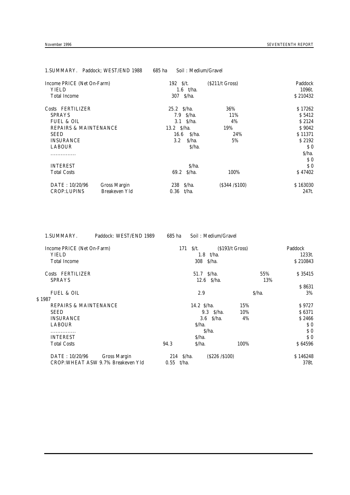| 1. SUMMARY. Paddock; WEST/END 1988 |                      | 685 ha          | Soil: Medium/Gravel |                  |                |
|------------------------------------|----------------------|-----------------|---------------------|------------------|----------------|
| Income PRICE (Net On-Farm)         |                      | 192 $S/t$ .     |                     | $(S211/t$ Gross) | Paddock        |
| <b>YIELD</b>                       |                      |                 | 1.6 $t/ha$ .        |                  | 1096t.         |
| <b>Total Income</b>                |                      | 307 \$/ha.      |                     |                  | \$210432       |
| Costs FERTILIZER                   |                      | $25.2 \,$ S/ha. |                     | 36%              | \$17262        |
| <b>SPRAYS</b>                      |                      |                 | $7.9 \,$ S/ha.      | 11%              | \$5412         |
| <b>FUEL &amp; OIL</b>              |                      |                 | $3.1 \quad S/ha.$   | 4%               | S 2124         |
| <b>REPAIRS &amp; MAINTENANCE</b>   |                      | 13.2 \$/ha.     |                     | 19%              | S 9042         |
| <b>SEED</b>                        |                      | 16.6            | \$/ha.              | 24%              | \$11371        |
| <b>INSURANCE</b>                   |                      | $3.2\,$         | $S/ha$ .            | 5%               | S 2192         |
| <b>LABOUR</b>                      |                      |                 | S/ha.               |                  | S <sub>0</sub> |
|                                    |                      |                 |                     |                  | S/ha.          |
|                                    |                      |                 |                     |                  | S <sub>0</sub> |
| <b>INTEREST</b>                    |                      |                 | $S/ha$ .            |                  | S <sub>0</sub> |
| <b>Total Costs</b>                 |                      |                 | 69.2 S/ha.          | 100%             | S 47402        |
| DATE: 10/20/96                     | <b>Gross Margin</b>  | $238 \,$ S/ha.  |                     | (S344 / S100)    | \$163030       |
| <b>CROP:LUPINS</b>                 | <b>Breakeven Yld</b> | 0.36            | t/ha.               |                  | 247t.          |

1.SUMMARY. Paddock: WEST/END 1989 685 ha Soil : Medium/Gravel Income PRICE (Net On-Farm) 171 \$/t. (\$193/t Gross) Paddock<br>
YIELD 1.8 t/ha. 1233t. YIELD 1.8 t/ha. 1233t. Total Income 308 \$/ha. \$ 210843 Costs FERTILIZER 51.7 \$/ha. 55% \$ 35415<br>SPRAYS 12.6 \$/ha. 578 13%  $12.6$   $S/ha$ . \$ 8631 FUEL & OIL 2.9 \$/ha. 3% \$ 1987 REPAIRS & MAINTENANCE 3 (14.2 \$/ha. 15% \$ 9727 \$ 9727 \$ 6371  $SEED$  9.3  $\frac{10\%}{10\%}$  9.3  $\frac{10\%}{10\%}$  9.3  $\frac{10\%}{10\%}$  9.3  $\frac{10\%}{10\%}$ INSURANCE 3.6 \$/ha. 4% \$ 2466<br>LABOUR \$/ha. 50 LABOUR \$/ha. \$ 0  $\sim$  5.0  $\sim$  5.0  $\sim$  5.0  $\sim$  5.0  $\sim$  5.0  $\sim$  5.0  $\sim$  5.0  $\sim$  5.0  $\sim$  5.0  $\sim$  5.0  $\sim$  5.0  $\sim$  5.0  $\sim$  5.0  $\sim$  5.0  $\sim$  5.0  $\sim$  5.0  $\sim$  5.0  $\sim$  5.0  $\sim$  5.0  $\sim$  5.0  $\sim$  5.0  $\sim$  5.0  $\sim$  5.0  $\sim$  5.0  $\sim$  INTEREST  $\mathbb{S}/\mathsf{ha}$ .  $\mathbb{S}/\mathsf{ha}$ .  $\mathbb{S}$ Total Costs 64596 **864596 94.3** \$/ha. 100% \$ 64596 DATE : 10/20/96 Gross Margin 214 \$/ha. (\$226 /\$100) \$ 146248<br>CROP:WHEAT ASW 9.7% Breakeven Yld 0.55 t/ha. (\$226 /\$100) \$ 146248

CROP:WHEAT ASW 9.7% Breakeven Yld 0.55 t/ha. 378t.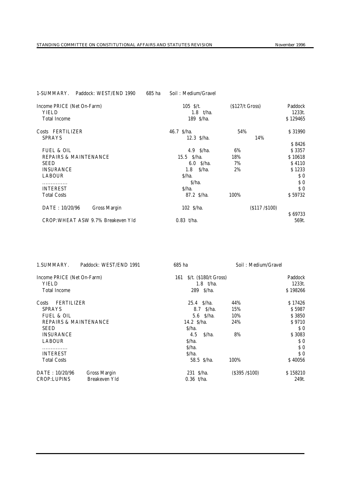| November 1996 |  |
|---------------|--|

| Paddock: WEST/END 1990<br>1-SUMMARY.                              | 685 ha | Soil: Medium/Gravel                      |                  |                               |
|-------------------------------------------------------------------|--------|------------------------------------------|------------------|-------------------------------|
| Income PRICE (Net On-Farm)<br><b>YIELD</b><br><b>Total Income</b> |        | 105 $S/t$ .<br>$1.8$ t/ha.<br>189 \$/ha. | $(5127/t$ Gross) | Paddock<br>1233t.<br>\$129465 |
|                                                                   |        |                                          |                  |                               |
| Costs FERTILIZER                                                  |        | 46.7 \$/ha.                              | 54%              | \$31990                       |
| <b>SPRAYS</b>                                                     |        | $12.3 \text{ S/ha.}$                     | 14%              |                               |
|                                                                   |        |                                          |                  | S 8426                        |
| <b>FUEL &amp; OIL</b>                                             |        | $4.9 \,$ S/ha.                           | 6%               | \$3357                        |
| <b>REPAIRS &amp; MAINTENANCE</b>                                  |        | 15.5 S/ha.                               | 18%              | S 10618                       |
| <b>SEED</b>                                                       |        | $6.0 \,$ S/ha.                           | 7%               | \$4110                        |
| <b>INSURANCE</b>                                                  |        | S/ha.<br>1.8                             | 2%               | \$1233                        |
| <b>LABOUR</b>                                                     |        | S/ha.                                    |                  | S <sub>0</sub>                |
| .                                                                 |        | S/ha.                                    |                  | S <sub>0</sub>                |
| <b>INTEREST</b>                                                   |        | \$/ha.                                   |                  | S <sub>0</sub>                |
| <b>Total Costs</b>                                                |        | 87.2 S/ha.                               | 100%             | S 59732                       |
| DATE: 10/20/96<br>Gross Margin                                    |        | 102 S/ha.                                | (S117 / S100)    |                               |
|                                                                   |        |                                          |                  | \$69733                       |
| CROP: WHEAT ASW 9.7% Breakeven Yld                                |        | $0.83$ t/ha.                             |                  | 569t.                         |

| 1. SUMMARY.                      | Paddock: WEST/END 1991 | 685 ha                                  | Soil: Medium/Gravel |                                                    |
|----------------------------------|------------------------|-----------------------------------------|---------------------|----------------------------------------------------|
| Income PRICE (Net On-Farm)       |                        | $\frac{\S}{t}$ . (\$180/t Gross)<br>161 |                     | Paddock                                            |
| <b>YIELD</b>                     |                        | $1.8$ t/ha.                             |                     | 1233t.                                             |
| <b>Total Income</b>              |                        | 289 \$/ha.                              |                     | \$198266                                           |
| <b>FERTILIZER</b><br>Costs       |                        | $25.4$ $S/ha$ .                         | 44%                 | \$17426                                            |
| <b>SPRAYS</b>                    |                        | $8.7 \,$ S/ha.                          | 15%                 | \$5987                                             |
| <b>FUEL &amp; OIL</b>            |                        | $5.6 \,$ S/ha.                          | 10%                 | \$3850                                             |
| <b>REPAIRS &amp; MAINTENANCE</b> |                        | 14.2 $S/ha$ .                           | 24%                 | \$9710                                             |
| <b>SEED</b>                      |                        | S/ha.                                   |                     | $\boldsymbol{\mathsf{S}}\ \boldsymbol{\mathsf{0}}$ |
| <b>INSURANCE</b>                 |                        | S/ha.<br>4.5                            | 8%                  | \$3083                                             |
| <b>LABOUR</b>                    |                        | $S/ha$ .                                |                     | $\boldsymbol{\mathsf{S}}\ \boldsymbol{\mathsf{0}}$ |
| .                                |                        | \$/ha.                                  |                     | $\boldsymbol{s}$ $\boldsymbol{0}$                  |
| <b>INTEREST</b>                  |                        | $S/ha$ .                                |                     | S <sub>0</sub>                                     |
| <b>Total Costs</b>               |                        | 58.5 S/ha.                              | 100%                | S 40056                                            |
| DATE: 10/20/96                   | Gross Margin           | $231 \text{ S/ha.}$                     | (S395 / S100)       | \$158210                                           |
| <b>CROP:LUPINS</b>               | Breakeven Yld          | $0.36$ t/ha.                            |                     | 249t.                                              |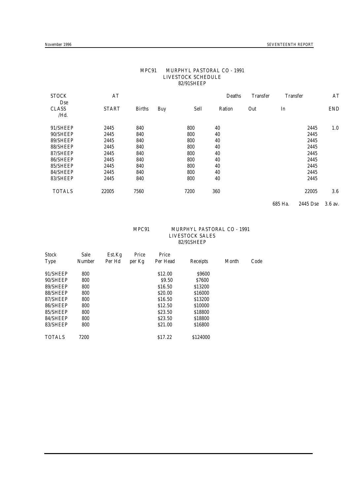| <b>STOCK</b><br>Dse  | AT           |               |     |      | Deaths | <b>Transfer</b> | <b>Transfer</b> |          | AT         |
|----------------------|--------------|---------------|-----|------|--------|-----------------|-----------------|----------|------------|
| <b>CLASS</b><br>/Hd. | <b>START</b> | <b>Births</b> | Buy | Sell | Ration | Out             | In              |          | <b>END</b> |
| 91/SHEEP             | 2445         | 840           |     | 800  | 40     |                 |                 | 2445     | 1.0        |
| 90/SHEEP             | 2445         | 840           |     | 800  | 40     |                 |                 | 2445     |            |
| 89/SHEEP             | 2445         | 840           |     | 800  | 40     |                 |                 | 2445     |            |
| 88/SHEEP             | 2445         | 840           |     | 800  | 40     |                 |                 | 2445     |            |
| 87/SHEEP             | 2445         | 840           |     | 800  | 40     |                 |                 | 2445     |            |
| 86/SHEEP             | 2445         | 840           |     | 800  | 40     |                 |                 | 2445     |            |
| 85/SHEEP             | 2445         | 840           |     | 800  | 40     |                 |                 | 2445     |            |
| 84/SHEEP             | 2445         | 840           |     | 800  | 40     |                 |                 | 2445     |            |
| 83/SHEEP             | 2445         | 840           |     | 800  | 40     |                 |                 | 2445     |            |
| <b>TOTALS</b>        | 22005        | 7560          |     | 7200 | 360    |                 |                 | 22005    | 3.6        |
|                      |              |               |     |      |        |                 | 685 Ha.         | 2445 Dse | 3.6 av.    |

#### MPC91 MURPHYL PASTORAL CO - 1991 LIVESTOCK SCHEDULE 82/91SHEEP

#### MPC91 MURPHYL PASTORAL CO - 1991 LIVESTOCK SALES 82/91SHEEP

| <b>Stock</b>  | Sale          | Est.Kg | Price  | Price              |              |       |      |
|---------------|---------------|--------|--------|--------------------|--------------|-------|------|
| <b>Type</b>   | <b>Number</b> | Per Hd | per Kg | Per Head           | Receipts     | Month | Code |
| 91/SHEEP      | 800           |        |        | \$12.00            | \$9600       |       |      |
| 90/SHEEP      | 800           |        |        | \$9.50             | <b>S7600</b> |       |      |
| 89/SHEEP      | 800           |        |        | \$16.50            | \$13200      |       |      |
| 88/SHEEP      | 800           |        |        | S <sub>20.00</sub> | \$16000      |       |      |
| 87/SHEEP      | 800           |        |        | \$16.50            | \$13200      |       |      |
| 86/SHEEP      | 800           |        |        | \$12.50            | \$10000      |       |      |
| 85/SHEEP      | 800           |        |        | \$23.50            | \$18800      |       |      |
| 84/SHEEP      | 800           |        |        | \$23.50            | \$18800      |       |      |
| 83/SHEEP      | 800           |        |        | S <sub>21.00</sub> | \$16800      |       |      |
| <b>TOTALS</b> | 7200          |        |        | \$17.22            | \$124000     |       |      |
|               |               |        |        |                    |              |       |      |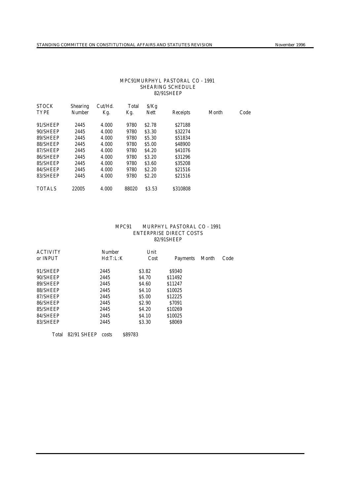#### MPC91MURPHYL PASTORAL CO - 1991 SHEARING SCHEDULE 82/91SHEEP

| <b>STOCK</b>  | <b>Shearing</b> | $Cut/$ Hd. | Total | S/Kg              |          |       |      |
|---------------|-----------------|------------|-------|-------------------|----------|-------|------|
| <b>TYPE</b>   | <b>Number</b>   | Kg.        | Kg.   | Nett              | Receipts | Month | Code |
| 91/SHEEP      | 2445            | 4.000      | 9780  | S <sub>2.78</sub> | S27188   |       |      |
| 90/SHEEP      | 2445            | 4.000      | 9780  | \$3.30            | \$32274  |       |      |
| 89/SHEEP      | 2445            | 4.000      | 9780  | \$5.30            | \$51834  |       |      |
| 88/SHEEP      | 2445            | 4.000      | 9780  | \$5.00            | S48900   |       |      |
| 87/SHEEP      | 2445            | 4.000      | 9780  | S <sub>4.20</sub> | S41076   |       |      |
| 86/SHEEP      | 2445            | 4.000      | 9780  | \$3.20            | \$31296  |       |      |
| 85/SHEEP      | 2445            | 4.000      | 9780  | \$3.60            | \$35208  |       |      |
| 84/SHEEP      | 2445            | 4.000      | 9780  | S <sub>2.20</sub> | S21516   |       |      |
| 83/SHEEP      | 2445            | 4.000      | 9780  | \$2.20            | S21516   |       |      |
| <b>TOTALS</b> | 22005           | 4.000      | 88020 | \$3.53            | \$310808 |       |      |
|               |                 |            |       |                   |          |       |      |

#### MPC91 MURPHYL PASTORAL CO - 1991 ENTERPRISE DIRECT COSTS 82/91SHEEP

| <b>ACTIVITY</b> | Number   | Unit              |          |       |      |
|-----------------|----------|-------------------|----------|-------|------|
| or INPUT        | Hd:T:L:K | Cost              | Payments | Month | Code |
| 91/SHEEP        | 2445     | S <sub>3.82</sub> | \$9340   |       |      |
|                 |          |                   |          |       |      |
| 90/SHEEP        | 2445     | S <sub>4.70</sub> | \$11492  |       |      |
| 89/SHEEP        | 2445     | S <sub>4.60</sub> | \$11247  |       |      |
| 88/SHEEP        | 2445     | S <sub>4.10</sub> | \$10025  |       |      |
| 87/SHEEP        | 2445     | S <sub>5.00</sub> | \$12225  |       |      |
| 86/SHEEP        | 2445     | S <sub>2.90</sub> | S7091    |       |      |
| 85/SHEEP        | 2445     | S <sub>4.20</sub> | \$10269  |       |      |
| 84/SHEEP        | 2445     | S <sub>4.10</sub> | \$10025  |       |      |
| 83/SHEEP        | 2445     | \$3.30            | \$8069   |       |      |
|                 |          |                   |          |       |      |

Total 82/91 SHEEP costs \$89783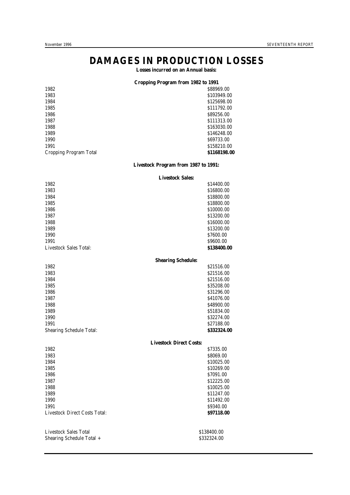# **DAMAGES IN PRODUCTION LOSSES**

**Losses incurred on an Annual basis:**

#### **Cropping Program from 1982 to 1991**

| \$88969.00   |
|--------------|
| \$103949.00  |
| \$125698.00  |
| \$111792.00  |
| \$89256.00   |
| \$111313.00  |
| \$163030.00  |
| \$146248.00  |
| \$69733.00   |
| \$158210.00  |
| \$1168198.00 |
|              |

#### **Livestock Program from 1987 to 1991:**

#### **Livestock Sales:**

| 1982                            |                           | \$14400.00  |
|---------------------------------|---------------------------|-------------|
| 1983                            |                           | \$16800.00  |
| 1984                            |                           | \$18800.00  |
| 1985                            |                           | \$18800.00  |
| 1986                            |                           | \$10000.00  |
| 1987                            |                           | \$13200.00  |
| 1988                            |                           | \$16000.00  |
| 1989                            |                           | \$13200.00  |
| 1990                            |                           | \$7600.00   |
| 1991                            |                           | \$9600.00   |
| Livestock Sales Total:          |                           | \$138400.00 |
|                                 | <b>Shearing Schedule:</b> |             |
| 1982                            |                           | \$21516.00  |
| 1983                            |                           | \$21516.00  |
| 1984                            |                           | \$21516.00  |
| 1985                            |                           | \$35208.00  |
| 1986                            |                           | \$31296.00  |
| 1987                            |                           | S41076.00   |
| 1988                            |                           | \$48900.00  |
| 1989                            |                           | \$51834.00  |
| 1990                            |                           | \$32274.00  |
| 1991                            |                           | \$27188.00  |
| <b>Shearing Schedule Total:</b> |                           | \$332324.00 |
|                                 |                           |             |

#### **Livestock Direct Costs:**

| 1982                                 | \$7335.00   |
|--------------------------------------|-------------|
| 1983                                 | \$8069.00   |
| 1984                                 | \$10025.00  |
| 1985                                 | \$10269.00  |
| 1986                                 | \$7091.00   |
| 1987                                 | \$12225.00  |
| 1988                                 | \$10025.00  |
| 1989                                 | \$11247.00  |
| 1990                                 | \$11492.00  |
| 1991                                 | \$9340.00   |
| <b>Livestock Direct Costs Total:</b> | \$97118.00  |
| Livestock Sales Total                | \$138400.00 |
| Shearing Schedule Total +            | \$332324.00 |
|                                      |             |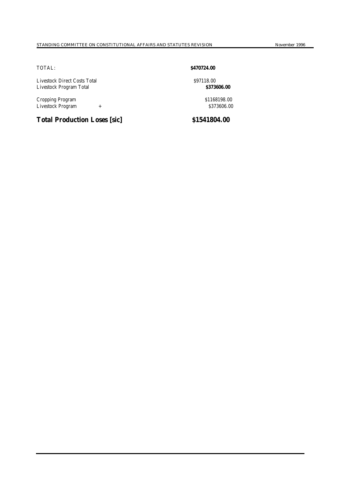Livestock Direct Costs Total \$97118.00 Livestock Program Total **\$373606.00**

Cropping Program  $$1168198.00$ <br>Livestock Program + Livestock Program

# **Total Production Loses [sic] \$1541804.00**

### TOTAL: **\$470724.00**